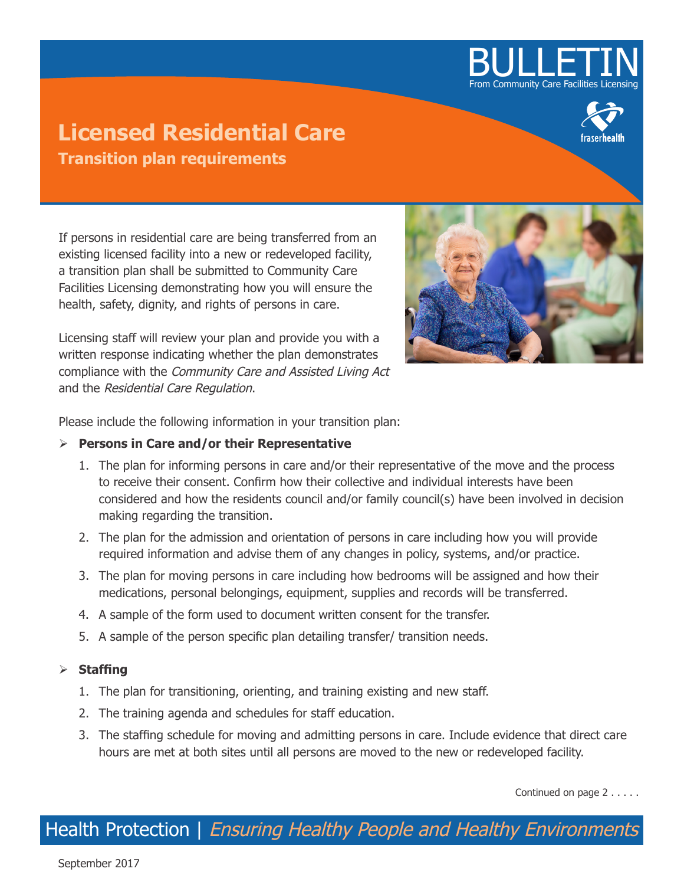# BULLETIN From Community Care Facilities

# **Licensed Residential Care Transition plan requirements**



If persons in residential care are being transferred from an existing licensed facility into a new or redeveloped facility, a transition plan shall be submitted to Community Care Facilities Licensing demonstrating how you will ensure the health, safety, dignity, and rights of persons in care.

Licensing staff will review your plan and provide you with a written response indicating whether the plan demonstrates compliance with the Community Care and Assisted Living Act and the Residential Care Regulation.



Please include the following information in your transition plan:

### ¾ **Persons in Care and/or their Representative**

- 1. The plan for informing persons in care and/or their representative of the move and the process to receive their consent. Confirm how their collective and individual interests have been considered and how the residents council and/or family council(s) have been involved in decision making regarding the transition.
- 2. The plan for the admission and orientation of persons in care including how you will provide required information and advise them of any changes in policy, systems, and/or practice.
- 3. The plan for moving persons in care including how bedrooms will be assigned and how their medications, personal belongings, equipment, supplies and records will be transferred.
- 4. A sample of the form used to document written consent for the transfer.
- 5. A sample of the person specific plan detailing transfer/ transition needs.

## ¾ **Staffing**

- 1. The plan for transitioning, orienting, and training existing and new staff.
- 2. The training agenda and schedules for staff education.
- 3. The staffing schedule for moving and admitting persons in care. Include evidence that direct care hours are met at both sites until all persons are moved to the new or redeveloped facility.

Continued on page 2 . . . . .

Health Protection | Ensuring Healthy People and Healthy Environments

September 2017